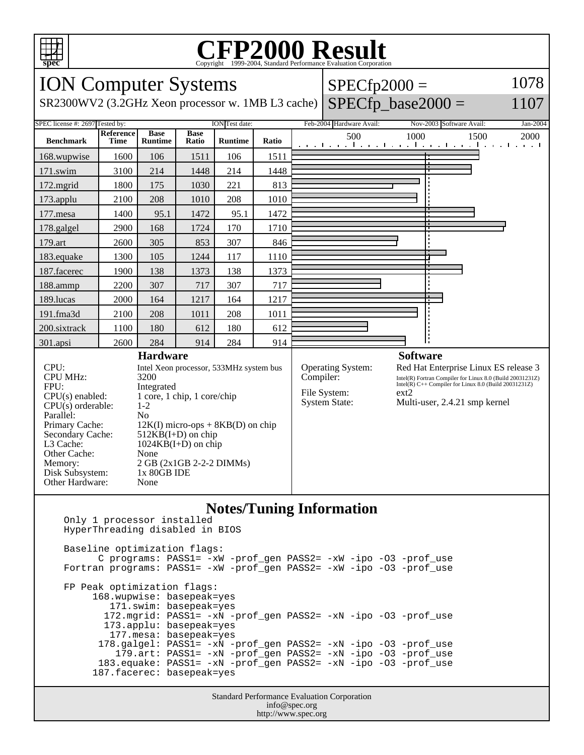

# Copyright ©1999-2004, Standard Performance Evaluation Corporation

| <b>ION Computer Systems</b>                                                                                                                                                                                                                                                                                                                                                                                                                                                                                 |                   |                               |                      |                |       |           | $SPECfp2000 =$                                              | 1078 |                                                                                                                                                                                                                 |      |          |  |
|-------------------------------------------------------------------------------------------------------------------------------------------------------------------------------------------------------------------------------------------------------------------------------------------------------------------------------------------------------------------------------------------------------------------------------------------------------------------------------------------------------------|-------------------|-------------------------------|----------------------|----------------|-------|-----------|-------------------------------------------------------------|------|-----------------------------------------------------------------------------------------------------------------------------------------------------------------------------------------------------------------|------|----------|--|
| $SPECfp$ base2000 =<br>SR2300WV2 (3.2GHz Xeon processor w. 1MB L3 cache)<br>1107                                                                                                                                                                                                                                                                                                                                                                                                                            |                   |                               |                      |                |       |           |                                                             |      |                                                                                                                                                                                                                 |      |          |  |
| SPEC license #: 2697 Tested by:<br>ION Test date:                                                                                                                                                                                                                                                                                                                                                                                                                                                           |                   |                               |                      |                |       |           | Feb-2004 Hardware Avail:                                    |      | Nov-2003 Software Avail:                                                                                                                                                                                        |      | Jan-2004 |  |
| <b>Benchmark</b>                                                                                                                                                                                                                                                                                                                                                                                                                                                                                            | Reference<br>Time | <b>Base</b><br><b>Runtime</b> | <b>Base</b><br>Ratio | <b>Runtime</b> | Ratio |           | 500<br>التعبيل ويقال وبالتعبيل وبالتعبيل والمعروفات وتواليع | 1000 |                                                                                                                                                                                                                 | 1500 | 2000     |  |
| 168.wupwise                                                                                                                                                                                                                                                                                                                                                                                                                                                                                                 | 1600              | 106                           | 1511                 | 106            | 1511  |           |                                                             |      |                                                                                                                                                                                                                 |      |          |  |
| 171.swim                                                                                                                                                                                                                                                                                                                                                                                                                                                                                                    | 3100              | 214                           | 1448                 | 214            | 1448  |           |                                                             |      |                                                                                                                                                                                                                 |      |          |  |
| 172.mgrid                                                                                                                                                                                                                                                                                                                                                                                                                                                                                                   | 1800              | 175                           | 1030                 | 221            | 813   |           |                                                             |      |                                                                                                                                                                                                                 |      |          |  |
| 173.applu                                                                                                                                                                                                                                                                                                                                                                                                                                                                                                   | 2100              | 208                           | 1010                 | 208            | 1010  |           |                                                             |      |                                                                                                                                                                                                                 |      |          |  |
| 177.mesa                                                                                                                                                                                                                                                                                                                                                                                                                                                                                                    | 1400              | 95.1                          | 1472                 | 95.1           | 1472  |           |                                                             |      |                                                                                                                                                                                                                 |      |          |  |
| 178.galgel                                                                                                                                                                                                                                                                                                                                                                                                                                                                                                  | 2900              | 168                           | 1724                 | 170            | 1710  |           |                                                             |      |                                                                                                                                                                                                                 |      |          |  |
| 179.art                                                                                                                                                                                                                                                                                                                                                                                                                                                                                                     | 2600              | 305                           | 853                  | 307            | 846   |           |                                                             |      |                                                                                                                                                                                                                 |      |          |  |
| 183.equake                                                                                                                                                                                                                                                                                                                                                                                                                                                                                                  | 1300              | 105                           | 1244                 | 117            | 1110  |           |                                                             |      |                                                                                                                                                                                                                 |      |          |  |
| 187.facerec                                                                                                                                                                                                                                                                                                                                                                                                                                                                                                 | 1900              | 138                           | 1373                 | 138            | 1373  |           |                                                             |      |                                                                                                                                                                                                                 |      |          |  |
| 188.ammp                                                                                                                                                                                                                                                                                                                                                                                                                                                                                                    | 2200              | 307                           | 717                  | 307            | 717   |           |                                                             |      |                                                                                                                                                                                                                 |      |          |  |
| 189.lucas                                                                                                                                                                                                                                                                                                                                                                                                                                                                                                   | 2000              | 164                           | 1217                 | 164            | 1217  |           |                                                             |      |                                                                                                                                                                                                                 |      |          |  |
| 191.fma3d                                                                                                                                                                                                                                                                                                                                                                                                                                                                                                   | 2100              | 208                           | 1011                 | 208            | 1011  |           |                                                             |      |                                                                                                                                                                                                                 |      |          |  |
| 200.sixtrack                                                                                                                                                                                                                                                                                                                                                                                                                                                                                                | 1100              | 180                           | 612                  | 180            | 612   |           |                                                             |      |                                                                                                                                                                                                                 |      |          |  |
| 301.apsi                                                                                                                                                                                                                                                                                                                                                                                                                                                                                                    | 2600              | 284                           | 914                  | 284            | 914   |           |                                                             |      |                                                                                                                                                                                                                 |      |          |  |
| <b>Hardware</b><br>CPU:<br>Intel Xeon processor, 533MHz system bus<br><b>CPU MHz:</b><br>3200<br>FPU:<br>Integrated<br>1 core, 1 chip, 1 core/chip<br>$CPU(s)$ enabled:<br>CPU(s) orderable:<br>$1-2$<br>Parallel:<br>N <sub>0</sub><br>Primary Cache:<br>$12K(I)$ micro-ops + 8KB(D) on chip<br>Secondary Cache:<br>$512KB(I+D)$ on chip<br>$1024KB(I+D)$ on chip<br>L3 Cache:<br>Other Cache:<br>None<br>2 GB (2x1GB 2-2-2 DIMMs)<br>Memory:<br>Disk Subsystem:<br>1x 80GB IDE<br>Other Hardware:<br>None |                   |                               |                      |                |       | Compiler: | Operating System:<br>File System:<br><b>System State:</b>   | ext2 | <b>Software</b><br>Red Hat Enterprise Linux ES release 3<br>Intel(R) Fortran Compiler for Linux 8.0 (Build 20031231Z)<br>Intel(R) C++ Compiler for Linux 8.0 (Build 20031231Z)<br>Multi-user, 2.4.21 smp kernel |      |          |  |
|                                                                                                                                                                                                                                                                                                                                                                                                                                                                                                             |                   |                               |                      |                |       |           | $N_{\alpha}$ tog/Tuning Information                         |      |                                                                                                                                                                                                                 |      |          |  |

### **Notes/Tuning Information**

 Only 1 processor installed HyperThreading disabled in BIOS Baseline optimization flags: C programs: PASS1= -xW -prof\_gen PASS2= -xW -ipo -O3 -prof\_use Fortran programs: PASS1= -xW -prof\_gen PASS2= -xW -ipo -O3 -prof\_use FP Peak optimization flags:

 168.wupwise: basepeak=yes 171.swim: basepeak=yes 172.mgrid: PASS1= -xN -prof\_gen PASS2= -xN -ipo -O3 -prof\_use 173.applu: basepeak=yes 177.mesa: basepeak=yes 178.galgel: PASS1= -xN -prof\_gen PASS2= -xN -ipo -O3 -prof\_use 179.art: PASS1= -xN -prof\_gen PASS2= -xN -ipo -O3 -prof\_use 183.equake: PASS1= -xN -prof\_gen PASS2= -xN -ipo -O3 -prof\_use 187.facerec: basepeak=yes

> Standard Performance Evaluation Corporation info@spec.org http://www.spec.org